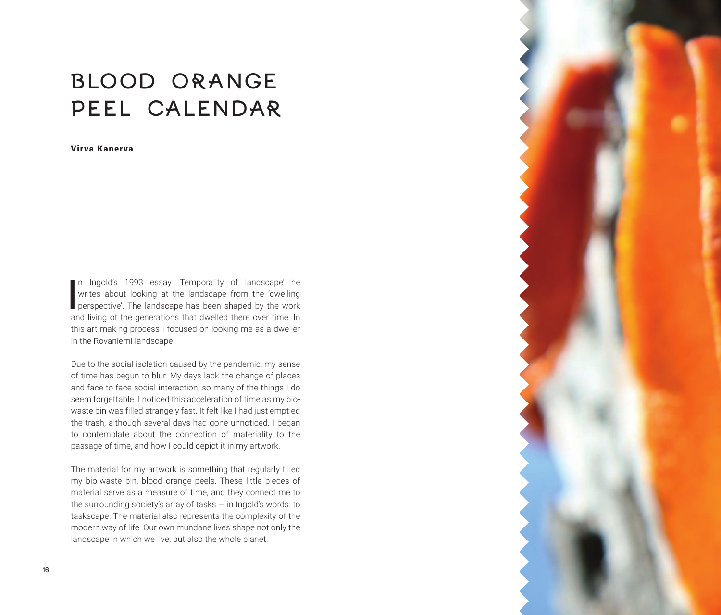## BLOOD ORANGE PEEL CALENDAR

Virva Kanerva

**I** n Ingold's 1993 essay 'Temporality of landscape' he writes about looking at the landscape from the 'dwelling perspective'. The landscape has been shaped by the work and living of the generations that dwelled there over time. In this art making process I focused on looking me as a dweller in the Rovaniemi landscape.

Due to the social isolation caused by the pandemic, my sense of time has begun to blur. My days lack the change of places and face to face social interaction, so many of the things I do seem forgettable. I noticed this acceleration of time as my biowaste bin was filled strangely fast. It felt like I had just emptied the trash, although several days had gone unnoticed. I began to contemplate about the connection of materiality to the passage of time, and how I could depict it in my artwork.

The material for my artwork is something that regularly filled my bio-waste bin, blood orange peels. These little pieces of material serve as a measure of time, and they connect me to the surrounding society's array of tasks — in Ingold's words: to taskscape. The material also represents the complexity of the modern way of life. Our own mundane lives shape not only the landscape in which we live, but also the whole planet.